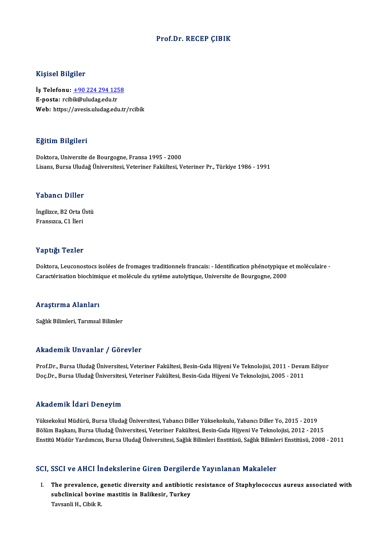### Prof.Dr. RECEP ÇIBIK

### Kişisel Bilgiler

Kişisel Bilgiler<br>İş Telefonu: <u>+90 224 294 1258</u><br>E nosta: rsibik@uludas.cdu.tr 11191001 Dugnot<br>İş Telefonu: <u>+90 224 294 125</u><br>E-posta: rcib[ik@uludag.edu.tr](tel:+90 224 294 1258) E-posta: rcibik@uludag.edu.tr<br>Web: https://avesis.uludag.edu.tr/rcibik

### Eğitim Bilgileri

Doktora, Universite de Bourgogne, Fransa 1995 - 2000 Lisans, Bursa Uludağ Üniversitesi, Veteriner Fakültesi, Veteriner Pr., Türkiye 1986 - 1991

#### Yabancı Diller

Yabancı Diller<br>İngilizce, B2 Orta Üstü<br>Eransızce, C1 İleri Fransızca, C1 İleri<br>Fransızca, C1 İleri

# Fransızca, C1 İleri<br>Yaptığı Tezler

Yaptığı Tezler<br>Doktora, Leuconostocs isolées de fromages traditionnels francais: - Identification phénotypique et moléculaire<br>Caractérisation bioshimique et molécule du sytéme autelytique. Universite de Poursesme 2000. Tupussa Tonion<br>Doktora, Leuconostocs isolées de fromages traditionnels francais: - Identification phénotypique<br>Caractérisation biochimique et molécule du sytéme autolytique, Universite de Bourgogne, 2000 Caractérisation biochimique et molécule du sytéme autolytique, Universite de Bourgogne, 2000<br>Araştırma Alanları

Sağlık Bilimleri, Tarımsal Bilimler

#### Akademik Unvanlar / Görevler

Akademik Unvanlar / Görevler<br>Prof.Dr., Bursa Uludağ Üniversitesi, Veteriner Fakültesi, Besin-Gıda Hijyeni Ve Teknolojisi, 2011 - Devam Ediyor<br>Des Dr., Bursa Uludağ Üniversitesi, Veteriner Fakültesi, Besin-Gıda Hijyeni Ve T rrkuu chrik "On vurirar" / "UST cvici"<br>Prof.Dr., Bursa Uludağ Üniversitesi, Veteriner Fakültesi, Besin-Gıda Hijyeni Ve Teknolojisi, 2011 - Devai<br>Doç.Dr., Bursa Uludağ Üniversitesi, Veteriner Fakültesi, Besin-Gıda Hijyeni V Doç.Dr., Bursa Uludağ Üniversitesi, Veteriner Fakültesi, Besin-Gıda Hijyeni Ve Teknolojisi, 2005 - 2011<br>Akademik İdari Deneyim

Yüksekokul Müdürü, Bursa Uludağ Üniversitesi, Yabancı Diller Yüksekokulu, Yabancı Diller Yo, 2015 - 2019 Bölüm Başkanı, Bursa Uludağ Üniversitesi, Veteriner Fakültesi, Besin-Gıda Hijyeni Ve Teknolojisi, 2012 - 2015 Enstitü Müdür Yardımcısı, Bursa Uludağ Üniversitesi, Sağlık Bilimleri Enstitüsü, Sağlık Bilimleri Enstitüsü, 2008 - 2011

### SCI, SSCI ve AHCI İndekslerine Giren Dergilerde Yayınlanan Makaleler

CI, SSCI ve AHCI İndekslerine Giren Dergilerde Yayınlanan Makaleler<br>I. The prevalence, genetic diversity and antibiotic resistance of Staphylococcus aureus associated with<br>All aubeliniaal bevine meetitie in Belikeein Tun subclinical mathematics and beights<br>The prevalence, genetic diversity and antibiotic<br>subclinical bovine mastitis in Balikesir, Turkey<br>Taveanli H. Ghilt P. The prevalence, g<br>subclinical bovin<br>Tavsanli H., Cibik R.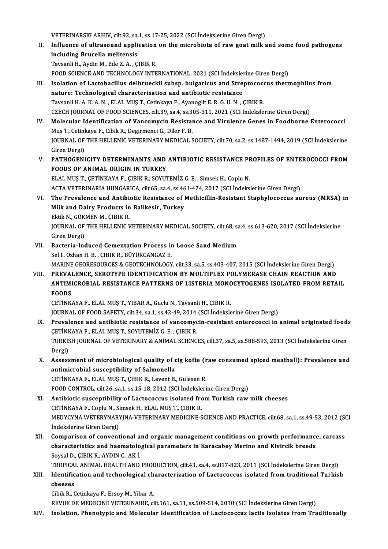VETERINARSKI ARHIV, cilt.92, sa.1, ss.17-25, 2022 (SCI İndekslerine Giren Dergi)<br>Influence of ultrasound application on the microbista of rew goet mill;

II. Influence of ultrasound application on the microbiota of raw goat milk and some food pathogens including Brucella melitensis VETERINARSKI ARHIV, cilt.92, sa.<br>Influence of ultrasound appli<br>including Brucella melitensis<br>Tavsanli H. Avdin M. Eda 7. A. G TavsanliH.,AydinM.,Ede Z.A. ,ÇIBIKR. including Brucella melitensis<br>Tavsanli H., Aydin M., Ede Z. A. , ÇIBIK R.<br>FOOD SCIENCE AND TECHNOLOGY INTERNATIONAL, 2021 (SCI İndekslerine Giren Dergi)<br>Isolation of Lastobasillus delbrueskij subsp. bulgarisus and Strantos

- Tavsanli H., Aydin M., Ede Z. A. , ÇIBIK R.<br>FOOD SCIENCE AND TECHNOLOGY INTERNATIONAL, 2021 (SCI İndekslerine Giren Dergi)<br>III. Isolation of Lactobacillus delbrueckii subsp. bulgaricus and Streptococcus thermophilus from<br>P FOOD SCIENCE AND TECHNOLOGY INTERNATIONAL, 2021 (SCI Indeksler<br>Isolation of Lactobacillus delbrueckii subsp. bulgaricus and Strendature: Technological characterisation and antibiotic resistance<br>Tavsanli HALVAN, ELALMIS T. Isolation of Lactobacillus delbrueckii subsp. bulgaricus and Streptococondure: Technological characterisation and antibiotic resistance<br>Tavsanli H. A. K. A. N. , ELAL MUŞ T., Cetinkaya F., Ayanogllt E. R. G. U. N. , ÇIBIK nature: Technological characterisation and antibiotic resistance<br>Tavsanli H. A. K. A. N. , ELAL MUŞ T., Cetinkaya F., Ayanogllt E. R. G. U. N. , ÇIBIK R.<br>CZECH JOURNAL OF FOOD SCIENCES, cilt.39, sa.4, ss.305-311, 2021 (SCI Tavsanli H. A. K. A. N. , ELAL MUŞ T., Cetinkaya F., Ayanogllt E. R. G. U. N. , ÇIBIK R.<br>CZECH JOURNAL OF FOOD SCIENCES, cilt.39, sa.4, ss.305-311, 2021 (SCI İndekslerine Giren Dergi)<br>IV. Molecular Identification of Vancom
- CZECH JOURNAL OF FOOD SCIENCES, cilt.39, sa.4, ss.3<br>Molecular Identification of Vancomycin Resistal<br>Mus T., Cetinkaya F., Cibik R., Degirmenci G., Diler F. B.<br>JOURNAL OF THE HELLENIC VETERINARY MEDICAL S Molecular Identification of Vancomycin Resistance and Virulence Genes in Foodborne Enterococci<br>Mus T., Cetinkaya F., Cibik R., Degirmenci G., Diler F. B.<br>JOURNAL OF THE HELLENIC VETERINARY MEDICAL SOCIETY, cilt.70, sa.2, s Mus T., Cetinkaya F., Cibik R., Degirmenci G., Diler F. B.<br>JOURNAL OF THE HELLENIC VETERINARY MEDICAL SOCIETY, cilt.70, sa.2, ss.1487-1494, 2019 (SCI İndekslerine<br>Giren Dergi) JOURNAL OF THE HELLENIC VETERINARY MEDICAL SOCIETY, cilt.70, sa.2, ss.1487-1494, 2019 (SCI İndekslerine<br>Giren Dergi)<br>V. PATHOGENICITY DETERMINANTS AND ANTIBIOTIC RESISTANCE PROFILES OF ENTEROCOCCI FROM<br>FOODS OF ANIMAL OBIC
- Giren Dergi)<br>PATHOGENICITY DETERMINANTS AND<br>FOODS OF ANIMAL ORIGIN IN TURKEY<br>ELAL MUS T. CETINKAYA E. CIPIK B. SOVIT PATHOGENICITY DETERMINANTS AND ANTIBIOTIC RESISTANCE PF<br>FOODS OF ANIMAL ORIGIN IN TURKEY<br>ELAL MUŞT., ÇETİNKAYA F., ÇIBIK R., SOYUTEMİZ G. E. , Simsek H., Coplu N.<br>ACTA VETERINARIA HINCARICA silt 65-sa 4-sa 461-474-2017 (SC FOODS OF ANIMAL ORIGIN IN TURKEY<br>ELAL MUŞ T., ÇETİNKAYA F., ÇIBIK R., SOYUTEMİZ G. E. , Simsek H., Coplu N.<br>ACTA VETERINARIA HUNGARICA, cilt.65, sa.4, ss.461-474, 2017 (SCI İndekslerine Giren Dergi) ELAL MUŞ T., ÇETİNKAYA F., ÇIBIK R., SOYUTEMİZ G. E. , Simsek H., Coplu N.<br>ACTA VETERINARIA HUNGARICA, cilt.65, sa.4, ss.461-474, 2017 (SCI İndekslerine Giren Dergi)<br>VI. The Prevalence and Antibiotic Resistance of Methicil
- ACTA VETERINARIA HUNGARICA, cilt.65, sa.4, ss.46<br>The Prevalence and Antibiotic Resistance of J<br>Milk and Dairy Products in Balikesir, Turkey<br>Fltik N. CÖVMEN M. CIBIK B The Prevalence and Antibi<br>Milk and Dairy Products in<br>Ektik N., GÖKMEN M., ÇIBIK R.<br>JOUPNAL OF THE HELLENIC V Milk and Dairy Products in Balikesir, Turkey<br>Ektik N., GÖKMEN M., ÇIBIK R.<br>JOURNAL OF THE HELLENIC VETERINARY MEDICAL SOCIETY, cilt.68, sa.4, ss.613-620, 2017 (SCI İndekslerine<br>Giren Dergi) Ektik N., GÖKMEN M., ÇIBIK R. JOURNAL OF THE HELLENIC VETERINARY MEDICAL SOCIETY, cilt.68, sa<br>Giren Dergi)<br>VII. Bacteria-Induced Cementation Process in Loose Sand Medium<br>Sel LOTban H B CIBIK B BÜVÜKCANCAZ F
- Giren Dergi)<br><mark>Bacteria-Induced Cementation Process ir</mark><br>Sel I., Ozhan H. B. , ÇIBIK R., BÜYÜKCANGAZ E.<br>MARINE CEORESQURCES & CEOTECHNOLOCY Sel I., Ozhan H. B. , ÇIBIK R., BÜYÜKCANGAZ E.<br>MARINE GEORESOURCES & GEOTECHNOLOGY, cilt.33, sa.5, ss.403-407, 2015 (SCI İndekslerine Giren Dergi) Sel I., Ozhan H. B. , ÇIBIK R., BÜYÜKCANGAZ E.<br>MARINE GEORESOURCES & GEOTECHNOLOGY, cilt.33, sa.5, ss.403-407, 2015 (SCI Indekslerine Giren Dergi)<br>VIII. PREVALENCE, SEROTYPE IDENTIFICATION BY MULTIPLEX POLYMERASE CHAIN REA
- MARINE GEORESOURCES & GEOTECHNOLOGY, cilt.33, sa.5, ss.403-407, 2015 (SCI İndekslerine Giren Dergi)<br>PREVALENCE, SEROTYPE IDENTIFICATION BY MULTIPLEX POLYMERASE CHAIN REACTION AND<br>ANTIMICROBIAL RESISTANCE PATTERNS OF LISTER PREVAI<br>ANTIMI<br>FOODS<br>CETINK ANTIMICROBIAL RESISTANCE PATTERNS OF LISTERIA MONOCYTOGENES ISOLATED FROM RETAIL<br>FOODS<br>ÇETİNKAYA F., ELAL MUŞ T., YIBAR A., Guclu N., Tavsanli H., ÇIBIK R.

JOURNAL OF FOOD SAFETY, cilt.34, sa.1, ss.42-49, 2014 (SCI İndekslerine Giren Dergi)

- IX. Prevalence and antibiotic resistance of vancomycin-resistant enterococci in animal originated foods JOURNAL OF FOOD SAFETY, cilt.34, sa.1, ss.42-49, 2014<br>Prevalence and antibiotic resistance of vancomyc<br>CETİNKAYA F., ELAL MUŞ T., SOYUTEMİZ G. E. , ÇIBIK R.<br>TURKIYA JOURNAL OF VETERINARY & ANIMAL SCIENC Prevalence and antibiotic resistance of vancomycin-resistant enterococci in animal originated food:<br>ÇETİNKAYA F., ELAL MUŞ T., SOYUTEMİZ G. E. , ÇIBIK R.<br>TURKISH JOURNAL OF VETERINARY & ANIMAL SCIENCES, cilt.37, sa.5, ss.5 CETINF<br>TURKIS<br>Dergi) TURKISH JOURNAL OF VETERINARY & ANIMAL SCIENCES, cilt.37, sa.5, ss.588-593, 2013 (SCI İndekslerine Giren<br>Dergi)<br>X. Assessment of microbiological quality of cig kofte (raw consumed spiced meatball): Prevalence and<br>antimicra
- Dergi)<br>Assessment of microbiological quality of **c**<br>antimicrobial susceptibility of Salmonella<br>CET<sup>INVAVA E ELAL MUST, CIPIV B, Lovent B</sup> Assessment of microbiological quality of cig kofte (r<br>antimicrobial susceptibility of Salmonella<br>ÇETİNKAYA F., ELAL MUŞ T., ÇIBIK R., Levent B., Gulesen R.<br>FOOD CONTROL, cilt 26, sa.1, sa.15, 18, 2012 (SCL Indeksleri antimicrobial susceptibility of Salmonella<br>ÇETİNKAYA F., ELAL MUŞ T., ÇIBIK R., Levent B., Gulesen R.<br>FOOD CONTROL, cilt.26, sa.1, ss.15-18, 2012 (SCI İndekslerine Giren Dergi)<br>Antibiatis sussentibility of Lastasassus isal

CETINKAYA F., ELAL MUŞ T., ÇIBIK R., Levent B., Gulesen R.<br>FOOD CONTROL, cilt26, sa.1, ss.15-18, 2012 (SCI Indekslerine Giren Dergi)<br>XI. Antibiotic susceptibility of Lactococcus isolated from Turkish raw milk cheeses<br>CETIN FOOD CONTROL, cilt.26, sa.1, ss.15-18, 2012 (SCI İndeksle<br>Antibiotic susceptibility of Lactococcus isolated fro<br>ÇETİNKAYA F., Coplu N., Simsek H., ELAL MUŞ T., ÇIBIK R.<br>MEDYCYNA WETERYNARYINA VETERINARY MEDICINE S Antibiotic susceptibility of Lactococcus isolated from Turkish raw milk cheeses<br>ÇETİNKAYA F., Coplu N., Simsek H., ELAL MUŞ T., ÇIBIK R.<br>MEDYCYNA WETERYNARYJNA-VETERINARY MEDICINE-SCIENCE AND PRACTICE, cilt.68, sa.1, ss.49 CETİNKAYA F., Coplu N., Si<br>MEDYCYNA WETERYNARY<br>İndekslerine Giren Dergi)<br>Comnarison of sonyant MEDYCYNA WETERYNARYJNA-VETERINARY MEDICINE-SCIENCE AND PRACTICE, cilt.68, sa.1, ss.49-53, 2012 (St<br>Indekslerine Giren Dergi)<br>XII. Comparison of conventional and organic management conditions on growth performance, carcass<br>

Indekslerine Giren Dergi)<br>Comparison of conventional and organic management conditions on growth performance<br>Covrel D. CIPIV B. AVDIN G. AV i Comparison of conventional a<br>characteristics and haematolo<br>Soysal D., ÇIBIK R., AYDIN C., AKİ.<br>TROPICAL ANIMAL HEALTH AND characteristics and haematological parameters in Karacabey Merino and Kivircik breeds<br>Soysal D., ÇIBIK R., AYDIN C., AK İ.<br>TROPICAL ANIMAL HEALTH AND PRODUCTION, cilt.43, sa.4, ss.817-823, 2011 (SCI İndekslerine Giren Derg

Soysal D., ÇIBIK R., AYDIN C., AK İ.<br>TROPICAL ANIMAL HEALTH AND PRODUCTION, cilt.43, sa.4, ss.817-823, 2011 (SCI İndekslerine Giren Dergi)<br>XIII. Identification and technological characterization of Lactococcus isolated TROPICA<br>Identific<br>cheeses<br>Gibik B. G Identification and technological ch<br>cheeses<br>Cibik R., Cetinkaya F., Ersoy M., Yibar A.<br>REVUE DE MEDECINE VETERINAIRE. 31 cheeses<br>Cibik R., Cetinkaya F., Ersoy M., Yibar A.<br>REVUE DE MEDECINE VETERINAIRE, cilt.161, sa.11, ss.509-514, 2010 (SCI İndekslerine Giren Dergi)

XIV. Isolation, Phenotypic and Molecular Identification of Lactococcus lactis Isolates from Traditionally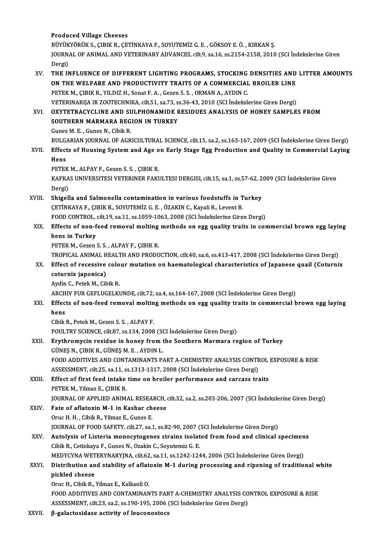### Produced Village Cheeses

Produced Village Cheeses<br>BÜYÜKYÖRÜK S., ÇIBIK R., ÇETİNKAYA F., SOYUTEMİZ G. E. , GÖKSOY E. Ö. , KIRKAN Ş.<br>JOUPMAL OF ANIMAL AND VETERINARY ADVANCES. SİLƏ 83.15.4335.5.2010 JOURNAL OF ANIMAL AND VETERINARY ADVANCES, cilt.9, sa.16, ss.2154-2158, 2010 (SCI İndekslerine Giren<br>Dergi) BÜYÜK<br>JOURN<br>Dergi)<br>THE IN JOURNAL OF ANIMAL AND VETERINARY ADVANCES, cilt.9, sa.16, ss.2154-2158, 2010 (SCI Indekslerine Giren<br>Dergi)<br>XV. THE INFLUENCE OF DIFFERENT LIGHTING PROGRAMS, STOCKING DENSITIES AND LITTER AMOUNTS<br>ON THE WELFARE AND RRODUCT

### Dergi)<br>THE INFLUENCE OF DIFFERENT LIGHTING PROGRAMS, STOCKING DENSITIES AND<br>ON THE WELFARE AND PRODUCTIVITY TRAITS OF A COMMERCIAL BROILER LINE<br>PETEK M. CIRIK R. XILDIZ H. Sonat E. A. COZOR S. S. OPMAN A. AVDIN C. PETEK M., ÇIBIK R., YILDIZ H., Sonat F. A., Gezen S. S., ORMAN A., AYDIN C. ON THE WELFARE AND PRODUCTIVITY TRAITS OF A COMMERCIAL BROILER LINE VETERINARIJA IR ZOOTECHNIKA, cilt.51, sa.73, ss.36-43, 2010 (SCI İndekslerine Giren Dergi)

XVI. OXYTETRACYCLINE AND SULPHONAMIDE RESIDUES ANALYSIS OF HONEY SAMPLES FROM<br>SOUTHERN MARMARA REGION IN TURKEY Gunes M. E., Gunes N., Cibik R. BULGARIAN JOURNAL OF AGRICULTURAL SCIENCE, cilt.15, sa.2, ss.163-167, 2009 (SCI İndekslerine Giren Dergi) Gunes M. E. , Gunes N., Cibik R.<br>BULGARIAN JOURNAL OF AGRICULTURAL SCIENCE, cilt.15, sa.2, ss.163-167, 2009 (SCI İndekslerine Giren Dergi)<br>XVII. Effects of Housing System and Age on Early Stage Egg Production and Quality i

BULGA<br><mark>Effect</mark><br>Hens<br>PETEL Effects of Housing System and Age o<br>Hens<br>PETEK M., ALPAY F., Gezen S. S. , ÇIBIK R.<br>KAEKAS UNIVERSITESI VETERINER FAKI

Hens<br>PETEK M., ALPAY F., Gezen S. S. , ÇIBIK R.<br>KAFKAS UNIVERSITESI VETERINER FAKULTESI DERGISI, cilt.15, sa.1, ss.57-62, 2009 (SCI İndekslerine Giren<br>Dergi) PETEK M., ALPAY F., Gezen S. S., ÇIBIK R. KAFKAS UNIVERSITESI VETERINER FAKULTESI DERGISI, cilt.15, sa.1, ss.57-62, 2<br>Dergi)<br>XVIII. Shigella and Salmonella contamination in various foodstuffs in Turkey<br>CETINEAVA E CIPIE B SOVITEMIZ C E QZAEIN C FOURLE LOYOTE B

Dergi)<br>Shigella and Salmonella contamination in various foodstuffs in T<br>ÇETİNKAYA F., ÇIBIK R., SOYUTEMİZ G. E. , ÖZAKIN C., Kayali R., Levent B.<br>FOOD CONTROL, silt 19, ss 11, ss 1959, 1962, 2998 (SCL Indelyalerine Gire Shigella and Salmonella contamination in various foodstuffs in Turkey<br>CETİNKAYA F., ÇIBIK R., SOYUTEMİZ G. E. , ÖZAKIN C., Kayali R., Levent B.<br>FOOD CONTROL, cilt.19, sa.11, ss.1059-1063, 2008 (SCI İndekslerine Giren Dergi

## CETINKAYA F., CIBIK R., SOYUTEMIZ G. E. , ÖZAKIN C., Kayali R., Levent B.<br>FOOD CONTROL, cilt.19, sa.11, ss.1059-1063, 2008 (SCI Indekslerine Giren Dergi)<br>XIX. Effects of non-feed removal molting methods on egg quality trai FOOD CONTROL,<br>Effects of non-f<br>hens in Turkey<br>PETEK M. Coron hens in Turkey<br>PETEK M., Gezen S. S. , ALPAY F., ÇIBIK R.<br>TROPICAL ANIMAL HEALTH AND PRODUCTION, cilt.40, sa.6, ss.413-417, 2008 (SCI İndekslerine Giren Dergi)<br>Effect of recessive seleur mutation en haematelegisel sharaste

PETEK M., Gezen S. S., ALPAY F., ÇIBIK R.

PETEK M., Gezen S. S. , ALPAY F., ÇIBIK R.<br>TROPICAL ANIMAL HEALTH AND PRODUCTION, cilt.40, sa.6, ss.413-417, 2008 (SCI İndekslerine Giren Dergi)<br>XX. Effect of recessive colour mutation on haematological characteristics of TROPICAL ANIMAL H<br>Effect of recessive<br>coturnix japonica)<br>Aydin C. Betek M. Gib XX. Effect of recessive colour mutation on haematological characteristics of Japanese quail (Coturnix coturnix japonica)<br>Aydin C., Petek M., Cibik R.

ARCHIV FUR GEFLUGELKUNDE, cilt.72, sa.4, ss.164-167, 2008 (SCI İndekslerine Giren Dergi)

### Aydin C., Petek M., Cibik R.<br>ARCHIV FUR GEFLUGELKUNDE, cilt.72, sa.4, ss.164-167, 2008 (SCI İndekslerine Giren Dergi)<br>XXI. Effects of non-feed removal molting methods on egg quality traits in commercial brown egg layin ARCH<br><mark>Effect</mark><br>hens<br>Ghild Effects of non-feed removal moltin<br>hens<br>Cibik R., Petek M., Gezen S. S. , ALPAY F.<br>POULTPV SCIENCE silt 97, ss 124, 2009 hens<br>Cibik R., Petek M., Gezen S. S. , ALPAY F.<br>POULTRY SCIENCE, cilt.87, ss.134, 2008 (SCI İndekslerine Giren Dergi)<br>Envthromygin residue in boney from the Southern Mermere re

# Cibik R., Petek M., Gezen S. S. , ALPAY F.<br>POULTRY SCIENCE, cilt.87, ss.134, 2008 (SCI Indekslerine Giren Dergi)<br>XXII. Erythromycin residue in honey from the Southern Marmara region of Turkey<br>GÜNES N., CIBIK R., GÜNES M. E

- POULTRY SCIENCE, cilt87, ss.134, 2008 (SC)<br>Erythromycin residue in honey from the SN., CIBIK R., GÜNEŞ M. E. , AYDIN L. Erythromycin residue in honey from the Southern Marmara region of Turkey<br>GÜNEŞ N., ÇIBIK R., GÜNEŞ M. E. , AYDIN L.<br>FOOD ADDITIVES AND CONTAMINANTS PART A-CHEMISTRY ANALYSIS CONTROL EXPOSURE & RISK<br>ASSESSMENT, cilt 25, 29. GÜNEŞ N., ÇIBIK R., GÜNEŞ M. E. , AYDIN L.<br>FOOD ADDITIVES AND CONTAMINANTS PART A-CHEMISTRY ANALYSIS CONTR<br>ASSESSMENT, cilt.25, sa.11, ss.1313-1317, 2008 (SCI İndekslerine Giren Dergi)<br>Fffest of finst food inteks time on b ASSESSMENT, cilt.25, sa.11, ss.1313-1317, 2008 (SCI İndekslerine Giren Dergi)
- XXIII. Effect of first feed intake time on broiler performance and carcass traits<br>PETEK M., Yilmaz E., CIBIK R. Effect of first feed intake time on broiler performance and carcass traits<br>PETEK M., Yilmaz E., ÇIBIK R.<br>JOURNAL OF APPLIED ANIMAL RESEARCH, cilt.32, sa.2, ss.203-206, 2007 (SCI İndekslerine Giren Dergi)<br>Fate of aflatevin PETEK M., Yilmaz E., ÇIBIK R.<br>JOURNAL OF APPLIED ANIMAL RESEARCH, GXXIV. Fate of aflatoxin M-1 in Kashar cheese

**JOURNAL OF APPLIED ANIMAL RESEA<br>Fate of aflatoxin M-1 in Kashar ch<br>Oruc H. H. , Cibik R., Yilmaz E., Gunes E.<br>JOUPMAL OF FOOD SAEETY, Git 27, C2.** Fate of aflatoxin M-1 in Kashar cheese<br>Oruc H. H. , Cibik R., Yilmaz E., Gunes E.<br>JOURNAL OF FOOD SAFETY, cilt.27, sa.1, ss.82-90, 2007 (SCI İndekslerine Giren Dergi)<br>Autolysis of Listoria managyttaganas strains isolated f Oruc H. H. , Cibik R., Yilmaz E., Gunes E.<br>JOURNAL OF FOOD SAFETY, cilt.27, sa.1, ss.82-90, 2007 (SCI Indekslerine Giren Dergi)<br>XXV. Autolysis of Listeria monocytogenes strains isolated from food and clinical specimens<br>Cib

# JOURNAL OF FOOD SAFETY, cilt.27, sa.1, ss.82-90, 2007 (<br>Autolysis of Listeria monocytogenes strains isolat<br>Cibik R., Cetinkaya F., Gunes N., Ozakin C., Soyutemiz G. E.<br>MEDYCVNA WETERYNARYINA silt.62, sa.11, ss.1242, 124 Autolysis of Listeria monocytogenes strains isolated from food and clinical specimen<br>Cibik R., Cetinkaya F., Gunes N., Ozakin C., Soyutemiz G. E.<br>MEDYCYNA WETERYNARYJNA, cilt.62, sa.11, ss.1242-1244, 2006 (SCI İndekslerine

## Cibik R., Cetinkaya F., Gunes N., Ozakin C., Soyutemiz G. E.<br>MEDYCYNA WETERYNARYJNA, cilt.62, sa.11, ss.1242-1244, 2006 (SCI İndekslerine Giren Dergi)<br>XXVI. Distribution and stability of aflatoxin M-1 during processing and MEDYCYNA WETERYNARYJNA, cilt.62, sa.11, ss.1242-1244, 2006 (SCI İndekslerine Giren Dergi)<br>Distribution and stability of aflatoxin M-1 during processing and ripening of traditio<br>pickled cheese<br>Oruc H., Cibik R., Yilmaz E., Distribution and stability of aflat<br>pickled cheese<br>Oruc H., Cibik R., Yilmaz E., Kalkanli O.<br>EOOD ADDITIVES AND CONTAMINAN

FOOD ADDITIVES AND CONTAMINANTS PART A-CHEMISTRY ANALYSIS CONTROL EXPOSURE & RISK ASSESSMENT, cilt.23, sa.2, ss.190-195, 2006 (SCI İndekslerine Giren Dergi)

XXVII. β-galactosidase activity of leuconostocs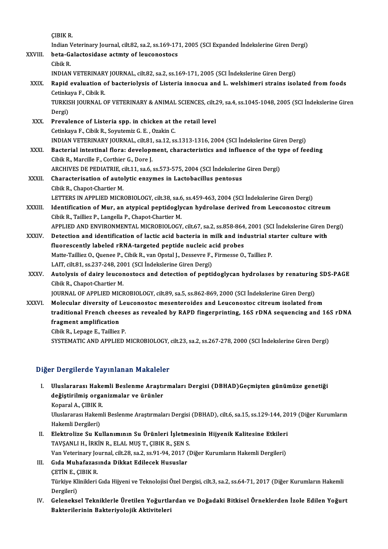ÇIBIKR.

ÇIBIK R.<br>Indian Veterinary Journal, cilt.82, sa.2, ss.169-171, 2005 (SCI Expanded İndekslerine Giren Dergi)<br>beta Gelastesidese estmtu ef leusenostess

CIBIK R.<br>Indian Veterinary Journal, cilt.82, sa.2, ss.169-17<br>XXVIII. beta-Galactosidase actmty of leuconostocs Indian V<br>beta-Ga<br>Cibik R.<br>INDIAN

beta-Galactosidase actmty of leuconostocs<br>Cibik R.<br>INDIAN VETERINARY JOURNAL, cilt.82, sa.2, ss.169-171, 2005 (SCI İndekslerine Giren Dergi)<br>Panid evaluation of basterialysis of Listeria innesus and L. welshimeri strains i

- Cibik R.<br>INDIAN VETERINARY JOURNAL, cilt.82, sa.2, ss.169-171, 2005 (SCI Indekslerine Giren Dergi)<br>XXIX. Rapid evaluation of bacteriolysis of Listeria innocua and L. welshimeri strains isolated from foods<br>Cetinkaya F., Cib **INDIAN VETERINAR!<br>Rapid evaluation of**<br>Cetinkaya F., Cibik R.<br>TURKISH JOURNAL C TURKISH JOURNAL OF VETERINARY & ANIMAL SCIENCES, cilt.29, sa.4, ss.1045-1048, 2005 (SCI İndekslerine Giren Dergi) TURKISH JOURNAL OF VETERINARY & ANIMAL SCIENCES, cilt.<br>Dergi)<br>XXX. Prevalence of Listeria spp. in chicken at the retail level<br>Cetinkous E. Cibil: P. Sountomis C. E. Ozakin C. Dergi)<br><mark>Prevalence of Listeria spp. in chicken at tl</mark><br>Cetinkaya F., Cibik R., Soyutemiz G. E. , Ozakin C.<br>INDIAN VETERINARY JOURNAL .cilt 91, ca 12, ca Cetinkaya F., Cibik R., Soyutemiz G. E. , Ozakin C.<br>INDIAN VETERINARY JOURNAL, cilt.81, sa.12, ss.1313-1316, 2004 (SCI İndekslerine Giren Dergi) Cetinkaya F., Cibik R., Soyutemiz G. E. , Ozakin C.<br>INDIAN VETERINARY JOURNAL, cilt.81, sa.12, ss.1313-1316, 2004 (SCI İndekslerine Giren Dergi)<br>XXXI. Bacterial intestinal flora: development, characteristics and influence INDIAN VETERINARY JOURNAL, cilt.81<br>Bacterial intestinal flora: developr<br>Cibik R., Marcille F., Corthier G., Dore J.<br>ARCHIVES DE PEDIATRIE gilt.1.1, 88.6. Bacterial intestinal flora: development, characteristics and influence of the ty<br>Cibik R., Marcille F., Corthier G., Dore J.<br>ARCHIVES DE PEDIATRIE, cilt.11, sa.6, ss.573-575, 2004 (SCI İndekslerine Giren Dergi)<br>Characteris Cibik R., Marcille F., Corthier G., Dore J.<br>ARCHIVES DE PEDIATRIE, cilt.11, sa.6, ss.573-575, 2004 (SCI İndekslerine<br>XXXII. Characterisation of autolytic enzymes in Lactobacillus pentosus<br>Cibik B. Chapet Charier M. ARCHIVES DE PEDIATRIE, c<br>Characterisation of auto<br>Cibik R., Chapot-Chartier M.<br>LETTEDS IN APPLIED MICR Characterisation of autolytic enzymes in Lactobacillus pentosus<br>Cibik R., Chapot-Chartier M.<br>LETTERS IN APPLIED MICROBIOLOGY, cilt.38, sa.6, ss.459-463, 2004 (SCI İndekslerine Giren Dergi)
	-
- Cibik R., Chapot-Chartier M.<br>LETTERS IN APPLIED MICROBIOLOGY, cilt.38, sa.6, ss.459-463, 2004 (SCI İndekslerine Giren Dergi)<br>XXXIII. Identification of Mur, an atypical peptidoglycan hydrolase derived from Leuconostoc citre LETTERS IN APPLIED MICROBIOLOGY, cilt.38, sa.6<br>Identification of Mur, an atypical peptidogly<br>Cibik R., Tailliez P., Langella P., Chapot-Chartier M.<br>APPLIED AND ENWRONMENTAL MICROPIOLOGY Identification of Mur, an atypical peptidoglycan hydrolase derived from Leuconostoc citreum<br>Cibik R., Tailliez P., Langella P., Chapot-Chartier M.<br>APPLIED AND ENVIRONMENTAL MICROBIOLOGY, cilt.67, sa.2, ss.858-864, 2001 (SC Cibik R., Tailliez P., Langella P., Chapot-Chartier M.<br>APPLIED AND ENVIRONMENTAL MICROBIOLOGY, cilt.67, sa.2, ss.858-864, 2001 (SCI İndekslerine Giren Dergi)<br>XXXIV. Detection and identification of lactic acid bacteria in m

- APPLIED AND ENVIRONMENTAL MICROBIOLOGY, cilt.67, sa.2, ss.858-864<br>Detection and identification of lactic acid bacteria in milk and inc<br>fluorescently labeled rRNA-targeted peptide nucleic acid probes<br>Matte Tailliar O. Quane Matte-Tailliez O., Quenee P., Cibik R., van Opstal J., Dessevre F., Firmesse O., Tailliez P.<br>LAIT, cilt.81, ss.237-248, 2001 (SCI İndekslerine Giren Dergi) fluorescently labeled rRNA-targeted peptide nucleic a<br>Matte-Tailliez O., Quenee P., Cibik R., van Opstal J., Dessevre F.,<br>LAIT, cilt.81, ss.237-248, 2001 (SCI İndekslerine Giren Dergi)<br>Autolygia of dainy laugenostass and d Matte-Tailliez O., Quenee P., Cibik R., van Opstal J., Dessevre F., Firmesse O., Tailliez P.<br>LAIT, cilt.81, ss.237-248, 2001 (SCI İndekslerine Giren Dergi)<br>XXXV. Autolysis of dairy leuconostocs and detection of peptidoglyc
- Cibik R., Chapot-Chartier M.<br>JOURNAL OF APPLIED MICROBIOLOGY, cilt.89, sa.5, ss.862-869, 2000 (SCI İndekslerine Giren Dergi) Autolysis of dairy leuconostocs and detection of peptidoglycan hydrolases by renaturing<br>Cibik R., Chapot-Chartier M.<br>JOURNAL OF APPLIED MICROBIOLOGY, cilt.89, sa.5, ss.862-869, 2000 (SCI İndekslerine Giren Dergi)<br>Melegylar

Cibik R., Chapot-Chartier M.<br>JOURNAL OF APPLIED MICROBIOLOGY, cilt.89, sa.5, ss.862-869, 2000 (SCI Indekslerine Giren Dergi)<br>XXXVI. Molecular diversity of Leuconostoc mesenteroides and Leuconostoc citreum isolated from<br>tra JOURNAL OF APPLIED MICROBIOLOGY, cilt.89, sa.5, ss.862-869, 2000 (SCI İndekslerine Giren Dergi)<br>Molecular diversity of Leuconostoc mesenteroides and Leuconostoc citreum isolated from<br>traditional French cheeses as revealed Molecular diversity of I<br>traditional French chee<br>fragment amplification<br>Sibil: B. Lanage E. Taillian **traditional French cheese<br>fragment amplification<br>Cibik R., Lepage E., Tailliez P.<br>SYSTEMATIC AND APPLIED.** fragment amplification<br>Cibik R., Lepage E., Tailliez P.<br>SYSTEMATIC AND APPLIED MICROBIOLOGY, cilt.23, sa.2, ss.267-278, 2000 (SCI İndekslerine Giren Dergi)

### Diğer Dergilerde Yayınlanan Makaleler

I. Uluslararası Hakemli Beslenme Araştırmaları Dergisi (DBHAD)Geçmişten günümüze genetiği değiştirilmiş organizmalar Francisco<br>Uluslararası Hakemli Beslenme Araştı<br>değiştirilmiş organizmalar ve ürünler Uluslararası Hake<br>değiştirilmiş orga<br>Koparal A., ÇIBIK R.<br>Uluslararası Hakeml

değiştirilmiş organizmalar ve ürünler<br>Koparal A., ÇIBIK R.<br>Uluslararası Hakemli Beslenme Araştırmaları Dergisi (DBHAD), cilt.6, sa.15, ss.129-144, 2019 (Diğer Kurumların Koparal A., ÇIBIK R<br>Uluslararası Hakem<br>Hakemli Dergileri)<br>Flaktralize Su Ku Uluslararası Hakemli Beslenme Araştırmaları Dergisi (DBHAD), cilt.6, sa.15, ss.129-144, 20<br>Hakemli Dergileri)<br>II. Elektrolize Su Kullanımının Su Ürünleri İşletmesinin Hijyenik Kalitesine Etkileri<br>TAVSANLLH İRKİN RELAL MIST

Hakemli Dergileri)<br><mark>Elektrolize Su Kullanımının Su Ürünleri İşletme</mark><br>TAVŞANLI H., İRKİN R., ELAL MUŞ T., ÇIBIK R., ŞEN S.<br>Van Veterinary Journal, silt 28, sa 2, sa 91, 94, 2017 (İ Elektrolize Su Kullanımının Su Ürünleri İşletmesinin Hijyenik Kalitesine Etkileri<br>TAVŞANLI H., İRKİN R., ELAL MUŞ T., ÇIBIK R., ŞEN S.<br>Van Veterinary Journal, cilt.28, sa.2, ss.91-94, 2017 (Diğer Kurumların Hakemli Dergile

### TAVŞANLI H., İRKİN R., ELAL MUŞ T., ÇIBIK R., ŞEN S.<br>Van Veterinary Journal, cilt.28, sa.2, ss.91-94, 2017 (I<br>III. Gıda Muhafazasında Dikkat Edilecek Hususlar<br>CETİN E., CIBIK R. Van Veterinary Jo<br>Gı<mark>da Muhafazas</mark>.<br>ÇETİN E., ÇIBIK R.<br>Türkiye Klinikleri Gıda Muhafazasında Dikkat Edilecek Hususlar<br>ÇETİN E., ÇIBIK R.<br>Türkiye Klinikleri Gıda Hijyeni ve Teknolojisi Özel Dergisi, cilt.3, sa.2, ss.64-71, 2017 (Diğer Kurumların Hakemli ÇETİN E., Ç<br>Türkiye Kl<br>Dergileri)<br>Celaneka

Türkiye Klinikleri Gıda Hijyeni ve Teknolojisi Özel Dergisi, cilt.3, sa.2, ss.64-71, 2017 (Diğer Kurumların Hakemli<br>Dergileri)<br>IV. Geleneksel Tekniklerle Üretilen Yoğurtlardan ve Doğadaki Bitkisel Örneklerden İzole Edilen

Dergileri)<br>IV. Geleneksel Tekniklerle Üretilen Yoğurtlardan ve Doğadaki Bitkisel Örneklerden İzole Edilen Yoğurt<br>Bakterilerinin Bakteriyolojik Aktiviteleri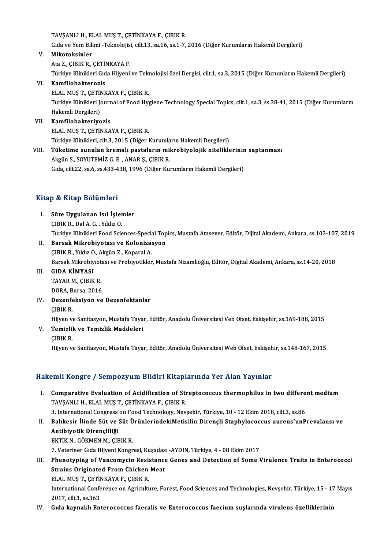TAVŞANLI H., ELAL MUŞ T., ÇETİNKAYA F., ÇIBIK R.

TAVŞANLI H., ELAL MUŞ T., ÇETİNKAYA F., ÇIBIK R.<br>Gıda ve Yem Bilimi -Teknolojisi, cilt.13, sa.16, ss.1-7, 2016 (Diğer Kurumların Hakemli Dergileri)<br>Mikatakainler

- TAVŞANLI H., EI<br>Gıda ve Yem Bili<br>V. Mikotoksinler<br>Ata Z. CIBIK B. Gıda ve Yem Bilimi -Teknolojis:<br><mark>Mikotoksinler</mark><br>Ata Z., ÇIBIK R., ÇETİNKAYA F.<br>Türkiye Klinikleri Cıda Hüyeni Mikotoksinler<br>Ata Z., ÇIBIK R., ÇETİNKAYA F.<br>Türkiye Klinikleri Gıda Hijyeni ve Teknolojisi özel Dergisi, cilt.1, sa.3, 2015 (Diğer Kurumların Hakemli Dergileri) Ata Z., ÇIBIK R., ÇETİNKAYA F.<br>Türkiye Klinikleri Gıda Hijyeni<br>VI. Kamfilobakterozis Türkiye Klinikleri Gıda Hijyeni ve Tek<mark>l</mark><br>**Kamfilobakterozis**<br>ELAL MUŞ T., ÇETİNKAYA F., ÇIBIK R.<br>Turkiye Klinikleri Journal of Food Hyr Turkiye Klinikleri Journal of Food Hygiene Technology Special Topics, cilt.1, sa.3, ss.38-41, 2015 (Diğer Kurumların<br>Hakemli Dergileri) ELAL MUŞ T., ÇETİNKAYA F., ÇIBIK R.
- VII. Kamfilobakteriyozis ELALMUŞT.,ÇETİNKAYAF.,ÇIBIKR. Türkiye Klinikleri, cilt.3, 2015 (Diğer Kurumların Hakemli Dergileri) ELAL MUŞ T., ÇETİNKAYA F., ÇIBIK R.<br>Türkiye Klinikleri, cilt.3, 2015 (Diğer Kurumların Hakemli Dergileri)<br>VIII. Tüketime sunulan kremalı pastaların mikrobiyolojik niteliklerinin saptanması<br>Akgün S. SOVUTEMİZ G. E., ANA
- Akgün S., SOYUTEMİZ G. E. , ANAR Ş., ÇIBIK R.<br>Gıda, cilt.22, sa.6, ss.433-438, 1996 (Diğer Kurumların Hakemli Dergileri) Tüketime sunulan kremalı pastaların mikrobiyolojik niteliklerinir<br>Akgün S., SOYUTEMİZ G. E. , ANAR Ş., ÇIBIK R.<br>Gıda, cilt.22, sa.6, ss.433-438, 1996 (Diğer Kurumların Hakemli Dergileri)

### Kitap & Kitap Bölümleri

- Itap & Kitap Bölümleri<br>I. Süte Uygulanan Isıl İşlemler<br>CIBIK B. Dal A.C. Yıldız O gi de sistem Dorumios i<br>Süte Uygulanan Isıl İşler<br>ÇIBIK R., Dal A. G. , Yıldız O.<br>Turkiye Klinikleri Eeed Scie ÇIBIK R., Dal A. G. , Yıldız O.<br>Turkiye Klinikleri Food Sciences-Special Topics, Mustafa Atasever, Editör, Dijital Akademi, Ankara, ss.103-107, 2019 CIBIK R., Dal A. G. , Yıldız O.<br>Turkiye Klinikleri Food Sciences-Special Top<br>II. Barsak Mikrobiyotası ve Kolonizasyon<br>CIBIK B. Yıldız O. Akgün Z. Konaral A.
- Turkiye Klinikleri Food Sciences-Specia<br>Barsak Mikrobiyotası ve Koloniza:<br>ÇIBIK R., Yıldız O., Akgün Z., Koparal A.<br>Parsak Mikrobiyatası ve Probiyotikler ÇIBIK R., Yıldız O., Akgün Z., Koparal A.<br>Barsak Mikrobiyıotası ve Probiyotikler, Mustafa Nizamlıoğlu, Editör, Digital Akademi, Ankara, ss.14-20, 2018
- III. GIDA KİMYASI

Barsak Mikrobiyiot<br>GIDA KİMYASI<br>TAYAR M., ÇIBIK R.<br>DOBA Bursa 2016 GI<mark>DA KİMYASI</mark><br>TAYAR M., ÇIBIK R.<br>DORA, Bursa, 2016<br>Dozanfaksiyan ya

DORA, Bursa, 2016<br>IV. Dezenfeksiyon ve Dezenfektanlar ÇIBIKR.

Dezenfeksiyon ve Dezenfektanlar<br>ÇIBIK R.<br>Hijyen ve Sanitasyon, Mustafa Tayar, Editör, Anadolu Üniversitesi Veb Ofset, Eskişehir, ss.169-188, 2015<br>Tamirlik ve Tamirlik Maddeleri

V. Temizlik ve Temizlik Maddeleri<br>CIBIK R. Hijyen v<br>**Temizlil**<br>ÇIBIK R.<br>Hijyen v

Hijyen ve Sanitasyon, Mustafa Tayar, Editör, Anadolu Üniversitesi Web Ofset, Eskişehir, ss.148-167, 2015

### Hakemli Kongre / Sempozyum Bildiri Kitaplarında Yer Alan Yayınlar

- I. Comparative Evaluation of Acidification of Streptococcus thermophilus in two different medium TAVŞANLI H., ELAL MUŞ T., ÇETİNKAYA F., ÇIBIK R. 3. Comparative Evaluation of Acidification of Streptococcus thermophilus in two differe<br>TAVŞANLI H., ELAL MUŞ T., ÇETİNKAYA F., ÇIBIK R.<br>3. International Congress on Food Technology, Nevşehir, Türkiye, 10 - 12 Ekim 2018, c TAVŞANLI H., ELAL MUŞ T., ÇETİNKAYA F., ÇIBIK R.<br>3. International Congress on Food Technology, Nevşehir, Türkiye, 10 - 12 Ekim 2018, cilt.3, ss.86<br>II. Balıkesir İlinde Süt ve Süt ÜrünlerindekiMetisilin Dirençli Staphyl
- 3. International Congress<br>Balıkesir İlinde Süt ve :<br>Antibiyotik Dirençliliği<br>E<sup>vriv N.</sup> GÖYMEN M. CIE Balıkesir İlinde Süt ve Süt Ü<br>Antibiyotik Dirençliliği<br>EKTİK N., GÖKMEN M., ÇIBIK R.<br>7. Veteriner Cıde Hijyeni Konsr Antibiyotik Dirençliliği<br>TKTİK N., GÖKMEN M., ÇIBIK R.<br>7. Veteriner Gıda Hijyeni Kongresi, Kuşadası -AYDIN, Türkiye, 4 - 08 Ekim 2017

- EKTİK N., GÖKMEN M., ÇIBIK R.<br>7. Veteriner Gıda Hijyeni Kongresi, Kuşadası -AYDIN, Türkiye, 4 08 Ekim 2017<br>III. Phenotyping of Vancomycin Resistance Genes and Detection of Some Virulence Traits in Enterococci<br>Strains 7. Veteriner Gıda Hijyeni Kongresi, Kuşadas<br>Phenotyping of Vancomycin Resistance<br>Strains Originated From Chicken Meat<br>ELAL MIS T. CETINKAYA E. CIPIK P Phenotyping of Vancomycin Resis<br>Strains Originated From Chicken<br>ELAL MUŞ T., ÇETİNKAYA F., ÇIBIK R.<br>International Conference on Agricult. Strains Originated From Chicken Meat<br>ELAL MUŞ T., ÇETİNKAYA F., ÇIBIK R.<br>International Conference on Agriculture, Forest, Food Sciences and Technologies, Nevşehir, Türkiye, 15 - 17 Mayıs<br>2017, cilt.1, ss.363 ELAL MUŞ T., ÇETİNKAYA F., ÇIBIK R.
- IV. Gıda kaynaklı Enterococcus faecalis ve Enterococcus faecium suşlarında virulens özelliklerinin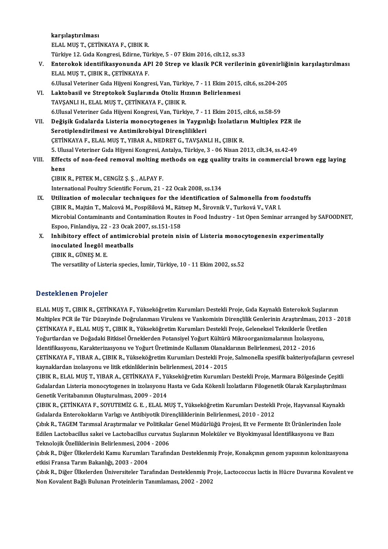karşılaştırılması ELALMUŞT.,ÇETİNKAYAF.,ÇIBIKR. karşılaştırılması<br>ELAL MUŞ T., ÇETİNKAYA F., ÇIBIK R.<br>Türkiye 12. Gıda Kongresi, Edirne, Türkiye, 5 - 07 Ekim 2016, cilt.12, ss.33<br>Entenekek identifikesyenynde ABL 20 Stren ve klasik BCB yenileri ELAL MUŞ T., ÇETİNKAYA F., ÇIBIK R.<br>Türkiye 12. Gıda Kongresi, Edirne, Türkiye, 5 - 07 Ekim 2016, cilt.12, ss.33<br>V. Enterokok identifikasyonunda API 20 Strep ve klasik PCR verilerinin güvenirliğinin karşılaştırılması<br>F Türkiye 12. Gıda Kongresi, Edirne, Tü<br><mark>Enterokok identifikasyonunda AF</mark><br>ELAL MUŞ T., ÇIBIK R., ÇETİNKAYA F.<br>6 Ulusal Veteriner Cıda Hüyeni Kongr Enterokok identifikasyonunda API 20 Strep ve klasik PCR verilerinin güvenirliği<br>ELAL MUŞ T., ÇIBIK R., ÇETİNKAYA F.<br>6.Ulusal Veteriner Gıda Hijyeni Kongresi, Van, Türkiye, 7 - 11 Ekim 2015, cilt.6, ss.204-205<br>Laktabasil ve ELAL MUŞ T., ÇIBIK R., ÇETİNKAYA F.<br>6.Ulusal Veteriner Gıda Hijyeni Kongresi, Van, Türkiye, 7 - 11 Ekim 2015,<br>VI. Laktobasil ve Streptokok Suşlarında Otoliz Hızının Belirlenmesi<br>TAVSANLLH, ELAL MUS T. CETİNKAYA E. CIPIK P. 6.Ulusal Veteriner Gıda Hijyeni Kongresi, Van, Türki<br>Laktobasil ve Streptokok Suşlarında Otoliz Hı<br>TAVŞANLI H., ELAL MUŞ T., ÇETİNKAYA F., ÇIBIK R.<br>6 Ulusal Veteriner Cıda Hüyeni Kongresi, Van, Türki Laktobasil ve Streptokok Suşlarında Otoliz Hızının Belirlenmesi<br>TAVŞANLI H., ELAL MUŞ T., ÇETİNKAYA F., ÇIBIK R.<br>6.Ulusal Veteriner Gıda Hijyeni Kongresi, Van, Türkiye, 7 - 11 Ekim 2015, cilt.6, ss.58-59<br>Doğisik Cıdalarda TAVŞANLI H., ELAL MUŞ T., ÇETİNKAYA F., ÇIBIK R.<br>6.Ulusal Veteriner Gıda Hijyeni Kongresi, Van, Türkiye, 7 - 11 Ekim 2015, cilt.6, ss.58-59<br>11. Değişik Gıdalarda Listeria monocytogenes in Yaygınlığı İzolatların Multiplex P 6.Ulusal Veteriner Gıda Hijyeni Kongresi, Van, Türkiye, 7 - 1<br>Değişik Gıdalarda Listeria monocytogenes in Yaygınl<br>Serotiplendirilmesi ve Antimikrobiyal Dirençlilikleri<br>CETİNKAYA E. ELAL MUS T. YIRAR A. NEDRET C. TAVSAN Değişik Gıdalarda Listeria monocytogenes in Yaygınlığı İzolatları<br>Serotiplendirilmesi ve Antimikrobiyal Dirençlilikleri<br>ÇETİNKAYA F., ELAL MUŞ T., YIBAR A., NEDRET G., TAVŞANLI H., ÇIBIK R.<br>5. Ulucel Veteriner Cıda Hüyeni 5. Serotiplendirilmesi ve Antimikrobiyal Dirençlilikleri<br>ÇETİNKAYA F., ELAL MUŞ T., YIBAR A., NEDRET G., TAVŞANLI H., ÇIBIK R.<br>5. Ulusal Veteriner Gıda Hijyeni Kongresi, Antalya, Türkiye, 3 - 06 Nisan 2013, cilt.34, ss.42-CETİNKAYA F., ELAL MUŞ T., YIBAR A., NEDRET G., TAVŞANLI H., ÇIBIK R.<br>5. Ulusal Veteriner Gıda Hijyeni Kongresi, Antalya, Türkiye, 3 - 06 Nisan 2013, cilt.34, ss.42-49<br>11. Effects of non-feed removal molting methods on egg 5. Ulu<br>Effect<br>hens<br>CIPIV Effects of non-feed removal molting m<br>hens<br>ÇIBIK R., PETEK M., CENGİZ Ş. Ş. , ALPAY F.<br>International Boultry Scientific Forum 21 hens<br>CIBIK R., PETEK M., CENGİZ Ş. Ş. , ALPAY F.<br>International Poultry Scientific Forum, 21 - 22 Ocak 2008, ss.134 CIBIK R., PETEK M., CENGİZ Ş. Ş. , ALPAY F.<br>International Poultry Scientific Forum, 21 - 22 Ocak 2008, ss.134<br>IX. Utilization of molecular techniques for the identification of Salmonella from foodstuffs<br>CIBIK B. Majtán T. International Poultry Scientific Forum, 21 - 22 Ocak 2008, ss.134<br>Utilization of molecular techniques for the identification of Salmonella from f<br>ÇIBIK R., Majtán T., Malcová M., Pospíšilová M., Rätsep M., Širovnik V., Tur Utilization of molecular techniques for the identification of Salmonella from foodstuffs<br>ÇIBIK R., Majtán T., Malcová M., Pospíšilová M., Rätsep M., Širovnik V., Turková V., VAR I.<br>Microbial Contaminants and Contamination ÇIBIK R., Majtán T., Malcová M., Pospíšilová M., Rät<br>Microbial Contaminants and Contamination Route<br>Espoo, Finlandiya, 22 - 23 Ocak 2007, ss.151-158<br>Inhibitory offect of antimicrobial protein ni Microbial Contaminants and Contamination Routes in Food Industry - 1st Open Seminar arranged by SA<br>Espoo, Finlandiya, 22 - 23 Ocak 2007, ss.151-158<br>X. Inhibitory effect of antimicrobial protein nisin of Listeria monocytoge Espoo, Finlandiya, 22 - 23 Ocak<br>Inhibitory effect of antimicr<br>inoculated İnegöl meatballs<br>CIBIK B. CÜNES M. E Inhibitory effect of<br>inoculated İnegöl n<br>ÇIBIK R., GÜNEŞ M. E.<br>The versetility of Lists CIBIK R., GÜNEȘ M. E.<br>The versatility of Listeria species, İzmir, Türkiye, 10 - 11 Ekim 2002, ss.52

### Desteklenen Projeler

Desteklenen Projeler<br>ELAL MUŞ T., ÇIBIK R., ÇETİNKAYA F., Yükseköğretim Kurumları Destekli Proje, Gıda Kaynaklı Enterokok Suşlarının<br>Multinlar PCB ile Tür Düzeyinde Değmulanması Vimulans ve Vankamisin Direnslilik Canlarini D OSCONNONON Y YOJOLOY<br>ELAL MUŞ T., ÇIBIK R., ÇETİNKAYA F., Yükseköğretim Kurumları Destekli Proje, Gıda Kaynaklı Enterokok Suşlarının<br>Multiplex PCR ile Tür Düzeyinde Doğrulanması Virulens ve Vankomisin Dirençlilik Genleri ELAL MUŞ T., ÇIBIK R., ÇETİNKAYA F., Yükseköğretim Kurumları Destekli Proje, Gıda Kaynaklı Enterokok Suşları<br>Multiplex PCR ile Tür Düzeyinde Doğrulanması Virulens ve Vankomisin Dirençlilik Genlerinin Araştırılması, 201<br>ÇET Multiplex PCR ile Tür Düzeyinde Doğrulanması Virulens ve Vankomisin Dirençlilik Genlerinin Araştırılması, 2013 - 2018<br>ÇETİNKAYA F., ELAL MUŞ T., ÇIBIK R., Yükseköğretim Kurumları Destekli Proje, Geleneksel Tekniklerle Üret ÇETİNKAYA F., ELAL MUŞ T., ÇIBIK R., Yükseköğretim Kurumları Destekli Proje, Geleneksel Tekniklerle Üretilen Yoğurtlardan ve Doğadaki Bitkisel Örneklerden Potansiyel Yoğurt Kültürü Mikroorganizmalarının İzolasyonu,<br>İdentifikasyonu, Karakterizasyonu ve Yoğurt Üretiminde Kullanım Olanaklarının Belirlenmesi, 2012 - 2016<br>ÇETİNKAYA F. İdentifikasyonu, Karakterizasyonu ve Yoğurt Üretiminde Kullanım Olanakl<br>ÇETİNKAYA F., YIBAR A., ÇIBIK R., Yükseköğretim Kurumları Destekli Proj<br>kaynaklardan izolasyonu ve litik etkinliklerinin belirlenmesi, 2014 - 2015<br>CIB ÇETİNKAYA F., YIBAR A., ÇIBIK R., Yükseköğretim Kurumları Destekli Proje, Salmonella spesifik bakteriyofajların çevre<br>kaynaklardan izolasyonu ve litik etkinliklerinin belirlenmesi, 2014 - 2015<br>ÇIBIK R., ELAL MUŞ T., YIBAR

kaynaklardan izolasyonu ve litik etkinliklerinin belirlenmesi, 2014 - 2015<br>ÇIBIK R., ELAL MUŞ T., YIBAR A., ÇETİNKAYA F., Yükseköğretim Kurumları Destekli Proje, Marmara Bölgesinde Çeşitli<br>Gıdalardan Listeria monocytogenes Genetik Veritabanının Oluşturulması, 2009 - 2014 Gıdalardan Listeria monocytogenes in izolasyonu Hasta ve Gıda Kökenli İzolatların Filogenetik Olarak Karşılaştırılması<br>Genetik Veritabanının Oluşturulması, 2009 - 2014<br>ÇIBIK R., ÇETİNKAYA F., SOYUTEMİZ G. E. , ELAL MUŞ T.,

Genetik Veritabanının Oluşturulması, 2009 - 2014<br>ÇIBIK R., ÇETİNKAYA F., SOYUTEMİZ G. E. , ELAL MUŞ T., Yükseköğretim Kurumları Destekli<br>Gıdalarda Enterokokların Varlıgı ve Antibiyotik Dirençliliklerinin Belirlenmesi, 2010 ÇIBIK R., ÇETİNKAYA F., SOYUTEMİZ G. E. , ELAL MUŞ T., Yükseköğretim Kurumları Destekli Proje, Hayvansal Kaynakl<br>Gıdalarda Enterokokların Varlıgı ve Antibiyotik Dirençliliklerinin Belirlenmesi, 2010 - 2012<br>Çıbık R., TAGEM

Gıdalarda Enterokokların Varlıgı ve Antibiyotik Dirençliliklerinin Belirlenmesi, 2010 - 2012<br>Çıbık R., TAGEM Tarımsal Araştırmalar ve Politikalar Genel Müdürlüğü Projesi, Et ve Fermente Et Ürünlerinden İz<br>Edilen Lactobacil Çıbık R., TAGEM Tarımsal Araştırmalar ve Politikala<br>Edilen Lactobacillus sakei ve Lactobacillus curvatus<br>Teknolojik Özelliklerinin Belirlenmesi, 2004 - 2006<br>Cıbık B. Diğer Ülkelerdeki Kamu Kurumları Tarafın Edilen Lactobacillus sakei ve Lactobacillus curvatus Suşlarının Moleküler ve Biyokimyasal İdentifikasyonu ve Bazı<br>Teknolojik Özelliklerinin Belirlenmesi, 2004 - 2006<br>Çıbık R., Diğer Ülkelerdeki Kamu Kurumları Tarafından De

Teknolojik Özelliklerinin Belirlenmesi, 2004<br>Çıbık R., Diğer Ülkelerdeki Kamu Kurumları<br>etkisi Fransa Tarım Bakanlığı, 2003 - 2004<br>Cıbık B. Diğer Ülkelerden Üniversiteler Ter Çıbık R., Diğer Ülkelerdeki Kamu Kurumları Tarafından Desteklenmiş Proje, Konakçının genom yapısının kolonizasyona<br>etkisi Fransa Tarım Bakanlığı, 2003 - 2004<br>Çıbık R., Diğer Ülkelerden Üniversiteler Tarafından Desteklenmiş

etkisi Fransa Tarım Bakanlığı, 2003 - 2004<br>Çıbık R., Diğer Ülkelerden Üniversiteler Tarafından Desteklenmiş Proje, Lactococcus lactis in Hücre Duvarına Kovalent ve<br>Non Kovalent Bağlı Bulunan Proteinlerin Tanımlaması, 2002